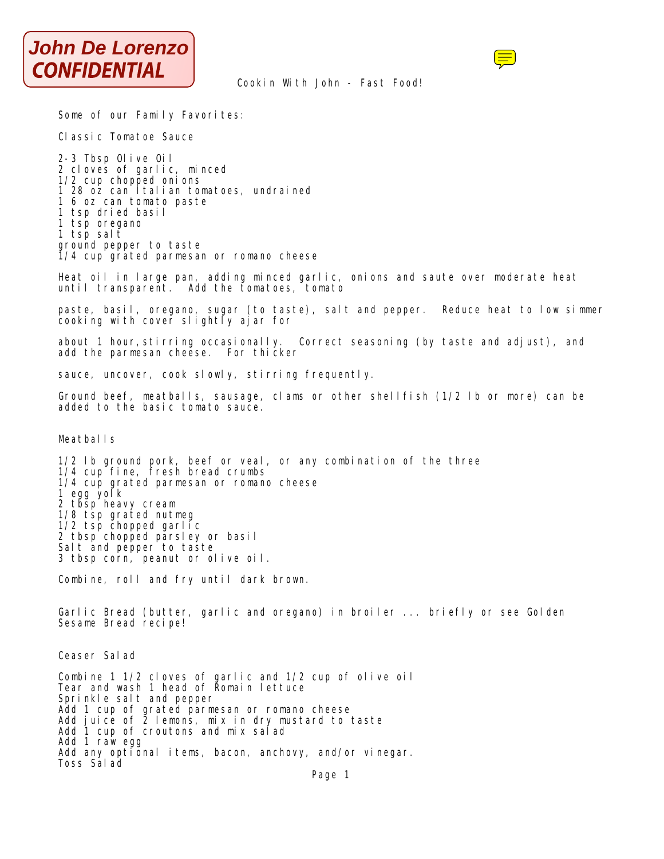



## Cookin With John - Fast Food!

Some of our Family Favorites:

Classic Tomatoe Sauce

2-3 Tbsp Olive Oil 2 cloves of garlic, minced 1/2 cup chopped onions 1 28 oz can Italian tomatoes, undrained 1 6 oz can tomato paste 1 tsp dried basil 1 tsp oregano 1 tsp salt ground pepper to taste 1/4 cup grated parmesan or romano cheese

Heat oil in large pan, adding minced garlic, onions and saute over moderate heat until transparent. Add the tomatoes, tomato

paste, basil, oregano, sugar (to taste), salt and pepper. Reduce heat to low simmer cooking with cover slightly ajar for

about 1 hour, stirring occasionally. Correct seasoning (by taste and adjust), and add the parmesan cheese. For thicker

sauce, uncover, cook slowly, stirring frequently.

Ground beef, meatballs, sausage, clams or other shellfish (1/2 lb or more) can be added to the basic tomato sauce.

Meatball<sub>s</sub>

1/2 lb ground pork, beef or veal, or any combination of the three 1/4 cup fine, fresh bread crumbs 1/4 cup grated parmesan or romano cheese 1 egg yolk 2 tbsp heavy cream 1/8 tsp grated nutmeg 1/2 tsp chopped garlic 2 tbsp chopped parsley or basil Salt and pepper to taste 3 tbsp corn, peanut or olive oil.

Combine, roll and fry until dark brown.

Garlic Bread (butter, garlic and oregano) in broiler ... briefly or see Golden Sesame Bread recipe!

Ceaser Salad

Combine 1 1/2 cloves of garlic and 1/2 cup of olive oil Tear and wash 1 head of Romain lettuce Sprinkle salt and pepper Add 1 cup of grated parmesan or romano cheese Add juice of 2 lemons, mix in dry mustard to taste Add 1 cup of croutons and mix salad Add 1 raw egg Add any optional items, bacon, anchovy, and/or vinegar. Toss Salad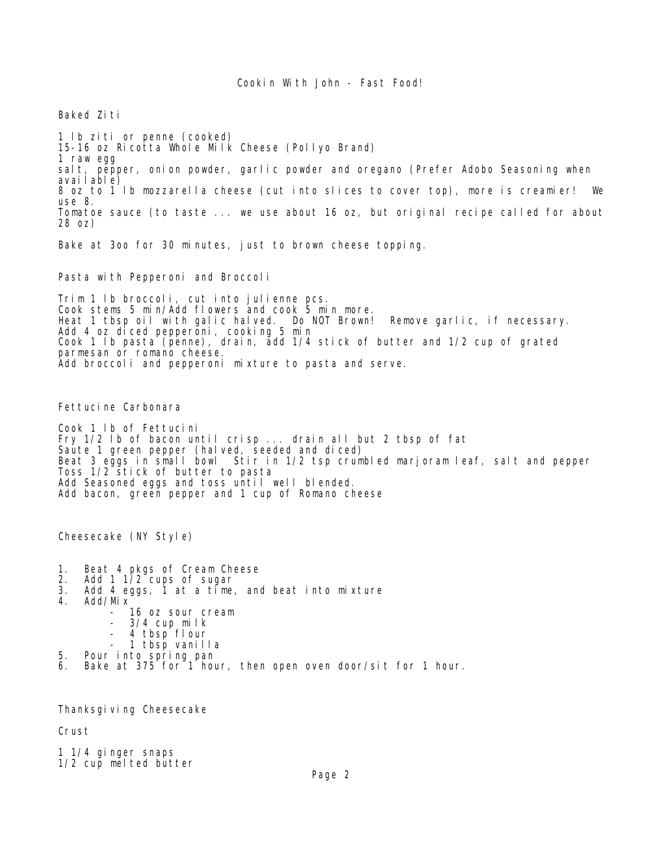Baked Ziti

1 lb ziti or penne (cooked) 15-16 oz Ricotta Whole Milk Cheese (Pollyo Brand) 1 raw egg salt, pepper, onion powder, garlic powder and oregano (Prefer Adobo Seasoning when available) 8 oz to 1 lb mozzarella cheese (cut into slices to cover top), more is creamier! We use 8. Tomatoe sauce (to taste ... we use about 16 oz, but original recipe called for about 28 oz)

Bake at 3oo for 30 minutes, just to brown cheese topping.

Pasta with Pepperoni and Broccoli

Trim 1 lb broccoli, cut into julienne pcs. Cook stems 5 min/Add flowers and cook 5 min more. Heat 1 tbsp oil with galic halved. Do NOT Brown! Remove garlic, if necessary. Add 4 oz diced pepperoni, cooking 5 min Cook 1 lb pasta (penne), drain, add 1/4 stick of butter and 1/2 cup of grated parmesan or romano cheese. Add broccoli and pepperoni mixture to pasta and serve.

Fettucine Carbonara

Cook 1 lb of Fettucini Fry 1/2 lb of bacon until crisp ... drain all but 2 tbsp of fat Saute 1 green pepper (halved, seeded and diced) Beat 3 eggs in small bowl Stir in 1/2 tsp crumbled marjoram leaf, salt and pepper Toss 1/2 stick of butter to pasta Add Seasoned eggs and toss until well blended. Add bacon, green pepper and 1 cup of Romano cheese

Cheesecake (NY Style)

- 1. Beat 4 pkgs of Cream Cheese
- 2. Add 1 1/2 cups of sugar<br>3. Add 4 eggs 1 at a time
- 3. Add 4 eggs, 1 at a time, and beat into mixture
- 4. Add/Mix
	- 16 oz sour cream
	- 3/4 cup milk
	- 4 tbsp flour
- 1 tbsp vanilla
- 5. Pour into spring pan
- 6. Bake at 375 for 1 hour, then open oven door/sit for 1 hour.

Thanksgi ving Cheesecake

Crust

1 1/4 ginger snaps 1/2 cup melted butter